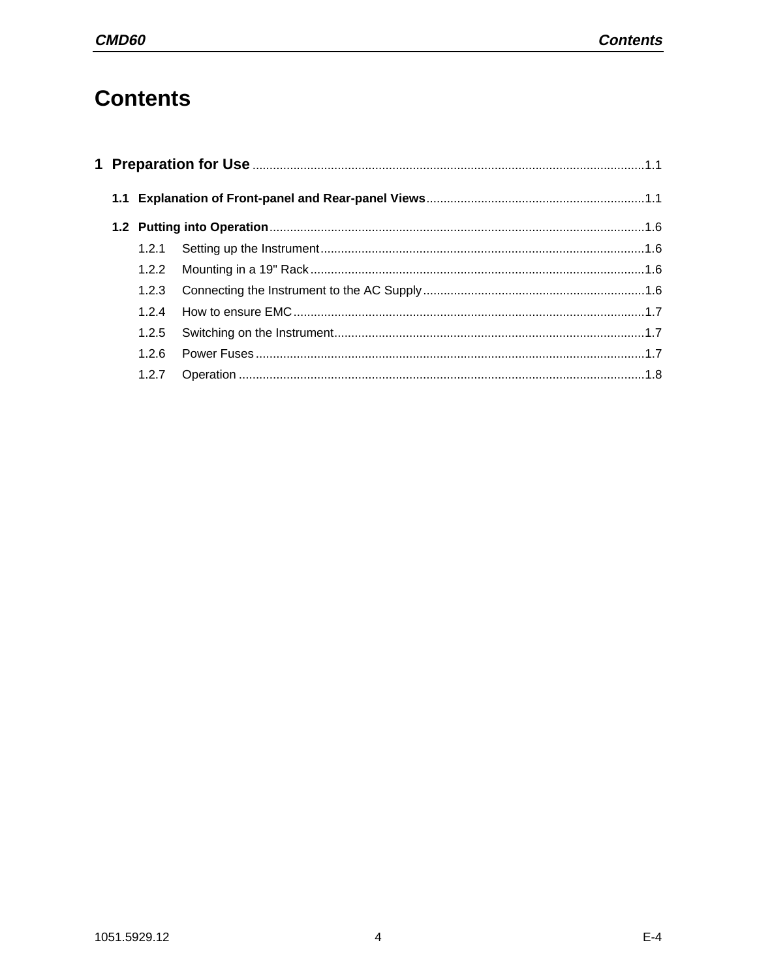# **Contents**

|  | 1.2.3 |  |  |  |  |  |
|--|-------|--|--|--|--|--|
|  | 124   |  |  |  |  |  |
|  | 1.2.5 |  |  |  |  |  |
|  | 1.2.6 |  |  |  |  |  |
|  | 1.2.7 |  |  |  |  |  |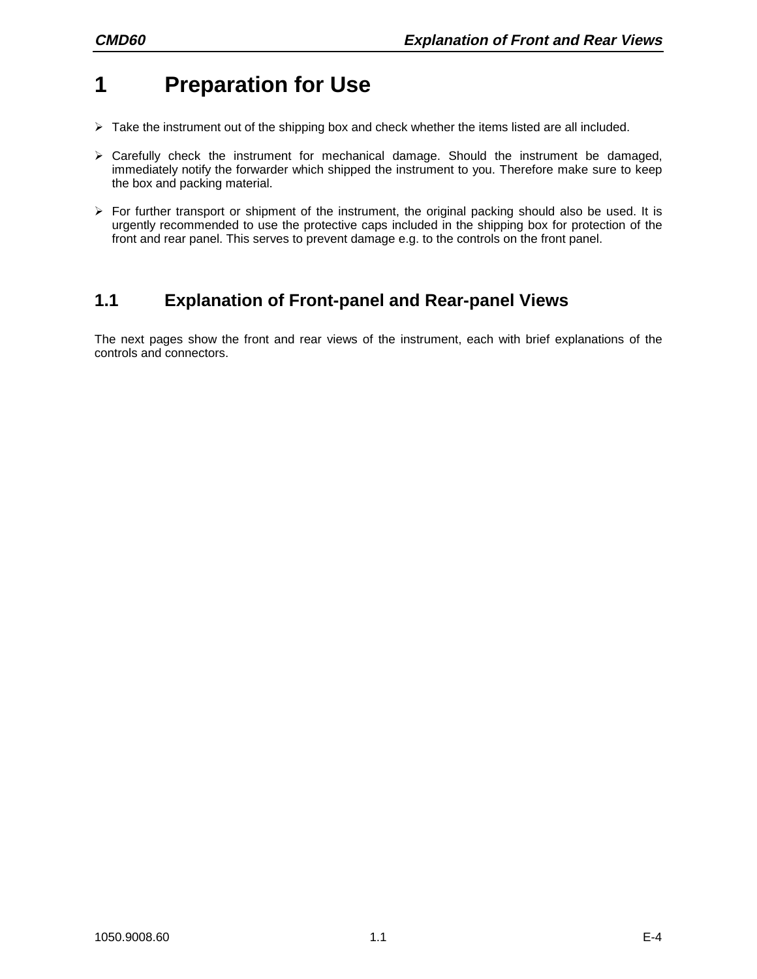# **1 Preparation for Use**

- $\triangleright$  Take the instrument out of the shipping box and check whether the items listed are all included.
- $\triangleright$  Carefully check the instrument for mechanical damage. Should the instrument be damaged, immediately notify the forwarder which shipped the instrument to you. Therefore make sure to keep the box and packing material.
- $\triangleright$  For further transport or shipment of the instrument, the original packing should also be used. It is urgently recommended to use the protective caps included in the shipping box for protection of the front and rear panel. This serves to prevent damage e.g. to the controls on the front panel.

## **1.1 Explanation of Front-panel and Rear-panel Views**

The next pages show the front and rear views of the instrument, each with brief explanations of the controls and connectors.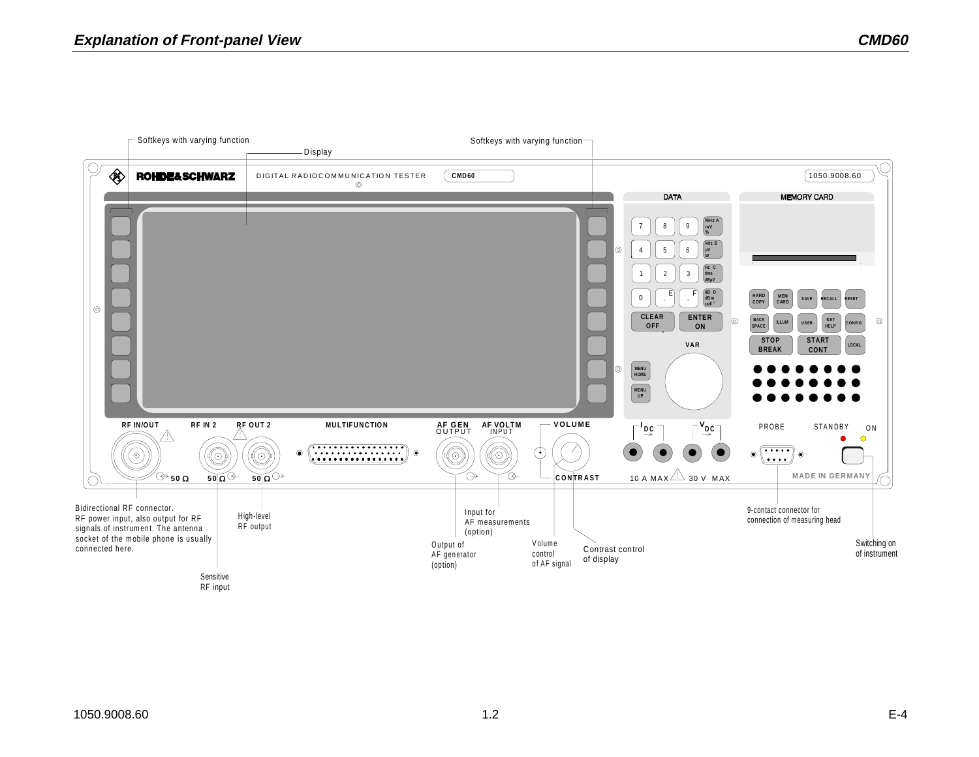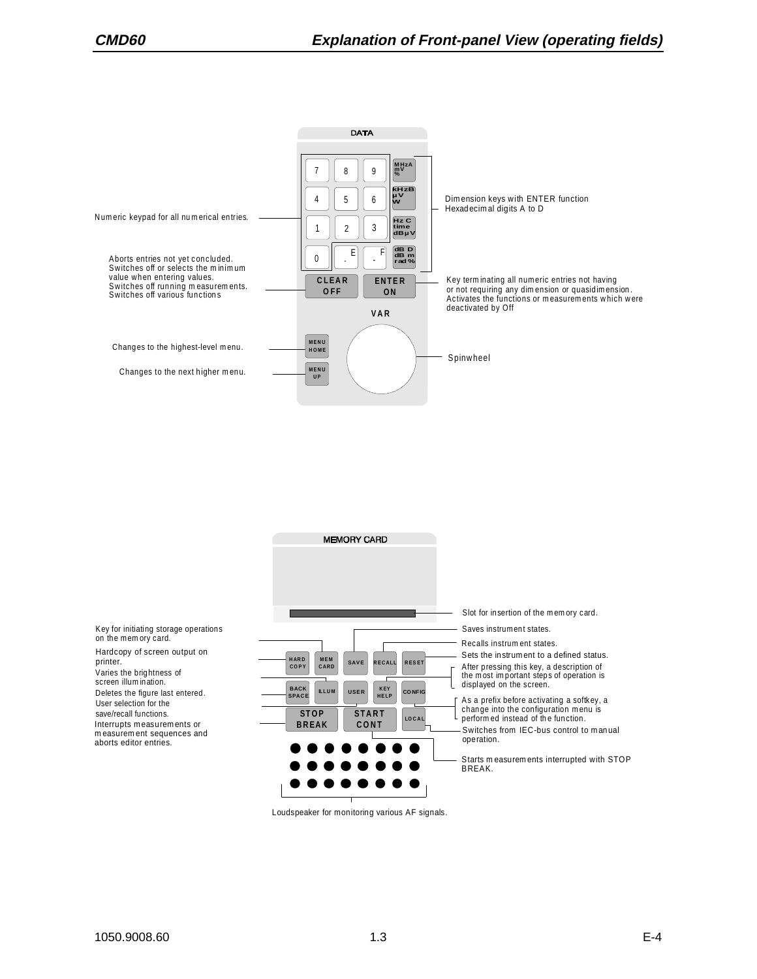



Loudspeaker for monitoring various AF signals.

Deletes the figure last entered.

on the mem ory card. Hardcopy of screen output on

User selection for the save/recall functions.

Varies the brig htness of screen illum in ation.

printer.

Interrupts m easurem ents or m easurem ent sequences and aborts editor entries.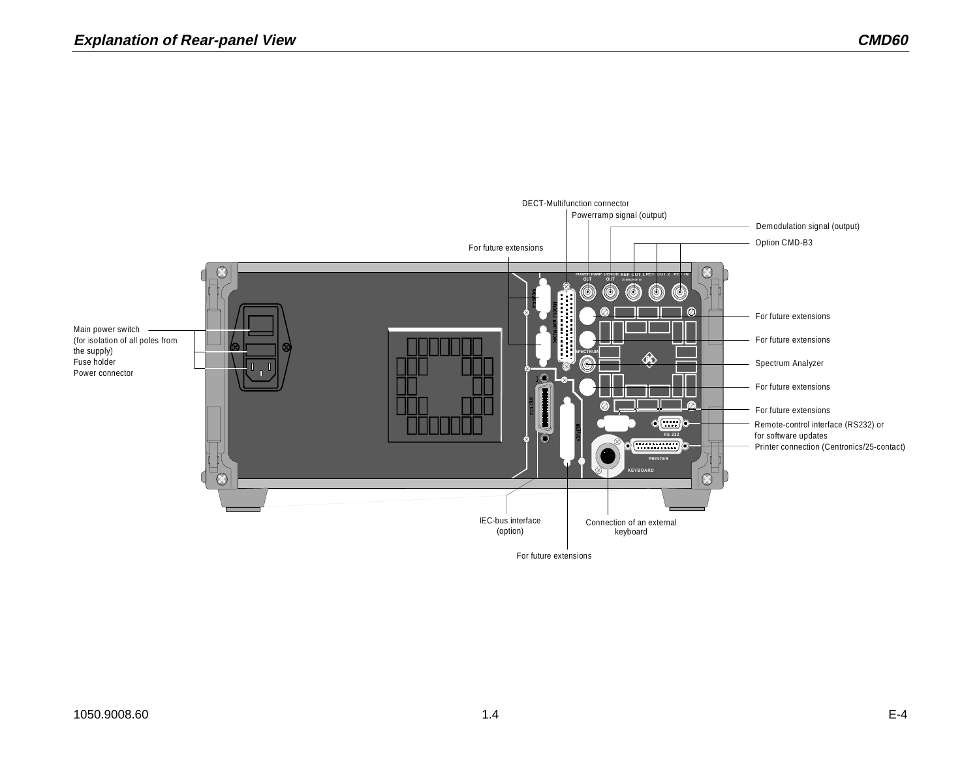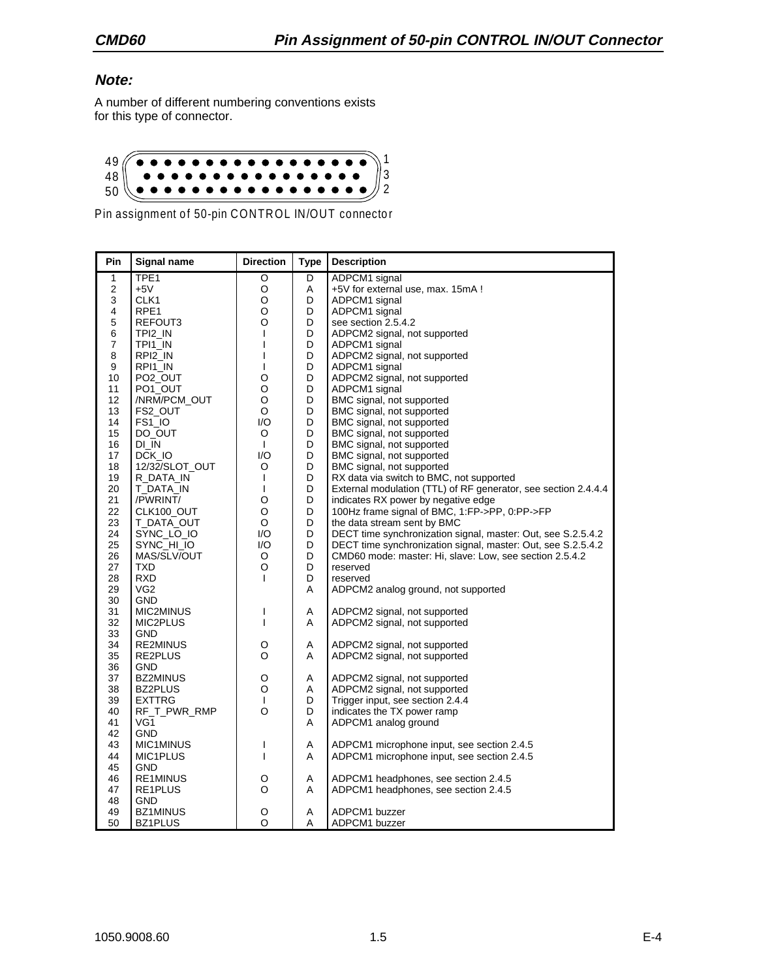#### **Note:**

A number of different numbering conventions exists for this type of connector.



Pin assignment of 50-pin CONTROL IN/OUT connector

| Pin                     | <b>Signal name</b>   | <b>Direction</b> | <b>Type</b> | <b>Description</b>                                             |
|-------------------------|----------------------|------------------|-------------|----------------------------------------------------------------|
| $\mathbf{1}$            | TPE <sub>1</sub>     | O                | D           | ADPCM1 signal                                                  |
| $\overline{\mathbf{c}}$ | $+5V$                | O                | Α           | +5V for external use, max. 15mA !                              |
| 3                       | CLK1                 | O                | D           | ADPCM1 signal                                                  |
| 4                       | RPE <sub>1</sub>     | O                | D           | ADPCM1 signal                                                  |
| 5                       | REFOUT3              | O                | D           | see section 2.5.4.2                                            |
| 6                       | TPI2 IN              | T                | D           | ADPCM2 signal, not supported                                   |
| 7                       | TPI1 IN              | T                | D           | ADPCM1 signal                                                  |
| 8                       | RPI2 IN              | I                | D           | ADPCM2 signal, not supported                                   |
| 9                       | RPI1_IN              | T                | D           | ADPCM1 signal                                                  |
| 10                      | PO <sub>2</sub> _OUT | O                | D           | ADPCM2 signal, not supported                                   |
| 11                      | PO1_OUT              | O                | D           | ADPCM1 signal                                                  |
| 12                      | /NRM/PCM_OUT         | O                | D           | BMC signal, not supported                                      |
| 13                      | FS2_OUT              | O                | D           | BMC signal, not supported                                      |
| 14                      | FS1_IO               | 1/O              | D           | BMC signal, not supported                                      |
| 15                      | DO OUT               | O                | D           | BMC signal, not supported                                      |
| 16                      | DI IN                | $\mathbf{I}$     | D           | BMC signal, not supported                                      |
| 17                      | DCK IO               | 1/O              | D           | BMC signal, not supported                                      |
| 18                      | 12/32/SLOT_OUT       | O                | D           | BMC signal, not supported                                      |
| 19                      | R_DATA_IN            | T                | D           | RX data via switch to BMC, not supported                       |
| 20                      | T_DATA_IN            | $\mathbf{I}$     | D           | External modulation (TTL) of RF generator, see section 2.4.4.4 |
| 21                      | /PWRINT/             | O                | D           | indicates RX power by negative edge                            |
| 22                      | CLK100_OUT           | O                | D           | 100Hz frame signal of BMC, 1:FP->PP, 0:PP->FP                  |
| 23                      | T_DATA_OUT           | O                | D           | the data stream sent by BMC                                    |
| 24                      | SYNC_LO_IO           | I/O              | D           | DECT time synchronization signal, master: Out, see S.2.5.4.2   |
| 25                      | SYNC_HI_IO           | 1/O              | D           | DECT time synchronization signal, master: Out, see S.2.5.4.2   |
| 26                      | MAS/SLV/OUT          | O                | D           | CMD60 mode: master: Hi, slave: Low, see section 2.5.4.2        |
| 27                      | TXD                  | O                | D           | reserved                                                       |
| 28                      | <b>RXD</b>           | T                | D           |                                                                |
| 29                      | VG <sub>2</sub>      |                  | A           | reserved                                                       |
|                         |                      |                  |             | ADPCM2 analog ground, not supported                            |
| 30                      | <b>GND</b>           | ı                |             |                                                                |
| 31                      | MIC2MINUS            |                  | Α           | ADPCM2 signal, not supported                                   |
| 32                      | MIC2PLUS             | T                | A           | ADPCM2 signal, not supported                                   |
| 33                      | <b>GND</b>           |                  |             |                                                                |
| 34                      | <b>RE2MINUS</b>      | O                | Α           | ADPCM2 signal, not supported                                   |
| 35                      | RE2PLUS              | O                | A           | ADPCM2 signal, not supported                                   |
| 36                      | GND                  |                  |             |                                                                |
| 37                      | <b>BZ2MINUS</b>      | O                | Α           | ADPCM2 signal, not supported                                   |
| 38                      | <b>BZ2PLUS</b>       | O                | Α           | ADPCM2 signal, not supported                                   |
| 39                      | <b>EXTTRG</b>        | $\mathbf{I}$     | D           | Trigger input, see section 2.4.4                               |
| 40                      | RF_T_PWR_RMP         | O                | D           | indicates the TX power ramp                                    |
| 41                      | VG1                  |                  | Α           | ADPCM1 analog ground                                           |
| 42                      | <b>GND</b>           |                  |             |                                                                |
| 43                      | MIC1MINUS            | I                | Α           | ADPCM1 microphone input, see section 2.4.5                     |
| 44                      | MIC1PLUS             | T                | A           | ADPCM1 microphone input, see section 2.4.5                     |
| 45                      | GND                  |                  |             |                                                                |
| 46                      | RE1MINUS             | O                | A           | ADPCM1 headphones, see section 2.4.5                           |
| 47                      | RE1PLUS              | O                | A           | ADPCM1 headphones, see section 2.4.5                           |
| 48                      | <b>GND</b>           |                  |             |                                                                |
| 49                      | BZ1MINUS             | O                | Α           | ADPCM1 buzzer                                                  |
| 50                      | BZ1PLUS              | O                | A           | ADPCM1 buzzer                                                  |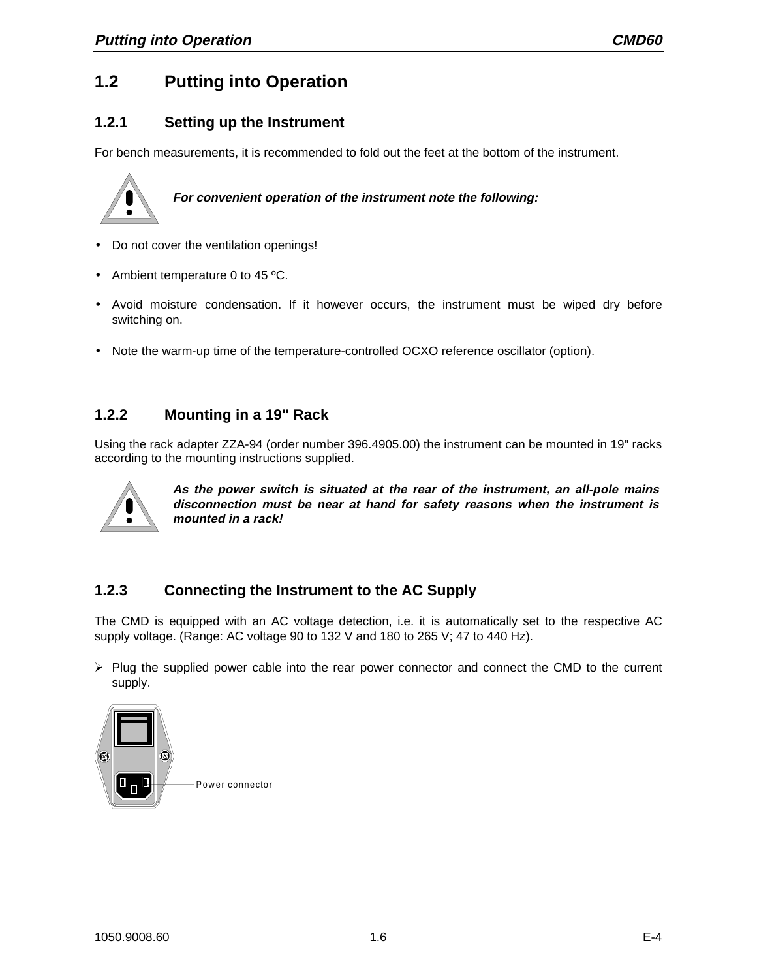## **1.2 Putting into Operation**

### **1.2.1 Setting up the Instrument**

For bench measurements, it is recommended to fold out the feet at the bottom of the instrument.



**For convenient operation of the instrument note the following:**

- Do not cover the ventilation openings!
- Ambient temperature 0 to 45 °C.
- Avoid moisture condensation. If it however occurs, the instrument must be wiped dry before switching on.
- Note the warm-up time of the temperature-controlled OCXO reference oscillator (option).

#### **1.2.2 Mounting in a 19" Rack**

Using the rack adapter ZZA-94 (order number 396.4905.00) the instrument can be mounted in 19" racks according to the mounting instructions supplied.



**As the power switch is situated at the rear of the instrument, an all-pole mains disconnection must be near at hand for safety reasons when the instrument is mounted in a rack!**

### **1.2.3 Connecting the Instrument to the AC Supply**

The CMD is equipped with an AC voltage detection, i.e. it is automatically set to the respective AC supply voltage. (Range: AC voltage 90 to 132 V and 180 to 265 V; 47 to 440 Hz).

 $\triangleright$  Plug the supplied power cable into the rear power connector and connect the CMD to the current supply.

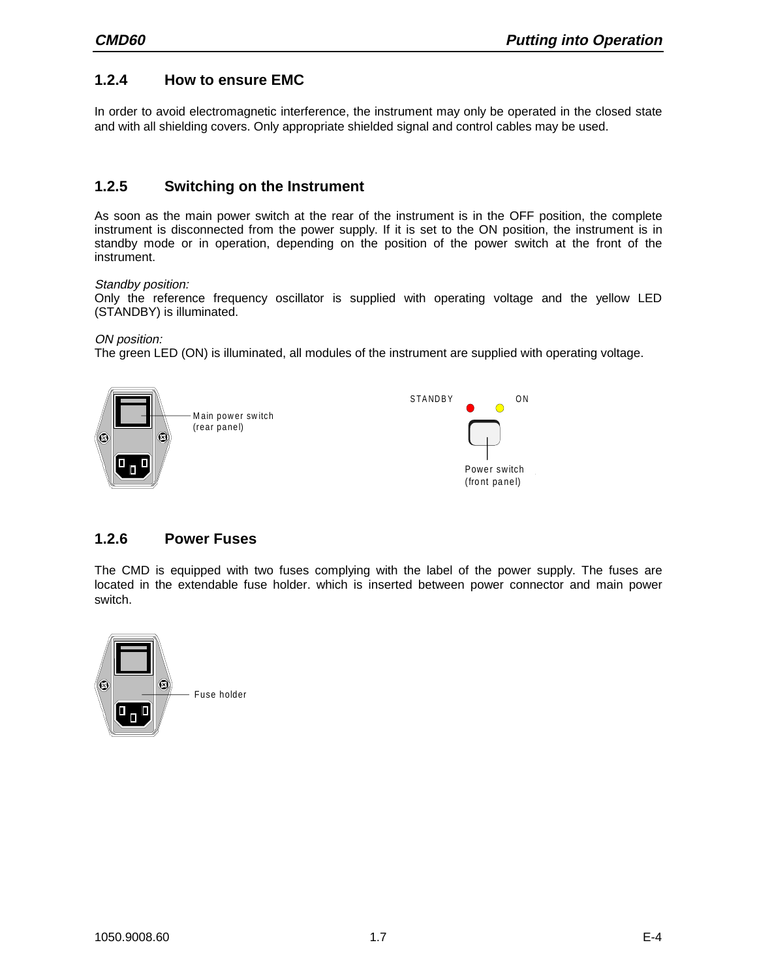#### **1.2.4 How to ensure EMC**

In order to avoid electromagnetic interference, the instrument may only be operated in the closed state and with all shielding covers. Only appropriate shielded signal and control cables may be used.

#### **1.2.5 Switching on the Instrument**

As soon as the main power switch at the rear of the instrument is in the OFF position, the complete instrument is disconnected from the power supply. If it is set to the ON position, the instrument is in standby mode or in operation, depending on the position of the power switch at the front of the instrument.

#### Standby position:

Only the reference frequency oscillator is supplied with operating voltage and the yellow LED (STANDBY) is illuminated.

ON position:

The green LED (ON) is illuminated, all modules of the instrument are supplied with operating voltage.



#### **1.2.6 Power Fuses**

The CMD is equipped with two fuses complying with the label of the power supply. The fuses are located in the extendable fuse holder. which is inserted between power connector and main power switch.